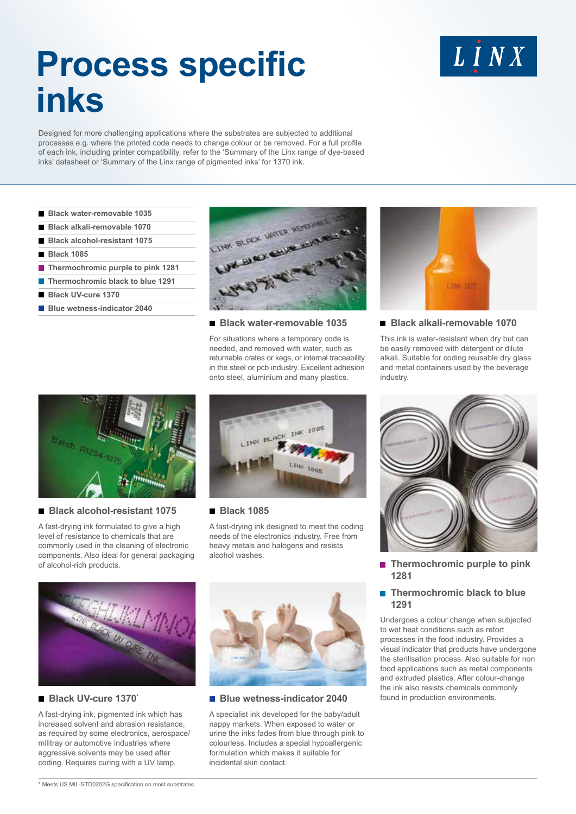# **Process specific inks**

Designed for more challenging applications where the substrates are subjected to additional processes e.g. where the printed code needs to change colour or be removed. For a full profile of each ink, including printer compatibility, refer to the 'Summary of the Linx range of dye-based inks' datasheet or 'Summary of the Linx range of pigmented inks' for 1370 ink.

- **Black water-removable 1035**
- **Black alkali-removable 1070**
- **Black alcohol-resistant 1075**
- **Black 1085**
- **Thermochromic purple to pink 1281**
- **Thermochromic black to blue 1291**
- **Black UV-cure 1370**
- **Blue wetness-indicator 2040**



#### **Black water-removable 1035**

For situations where a temporary code is needed, and removed with water, such as returnable crates or kegs, or internal traceability in the steel or pcb industry. Excellent adhesion onto steel, aluminium and many plastics.



LINX

#### **Black alkali-removable 1070**

This ink is water-resistant when dry but can be easily removed with detergent or dilute alkali. Suitable for coding reusable dry glass and metal containers used by the beverage industry.



## **Black alcohol-resistant 1075**

A fast-drying ink formulated to give a high level of resistance to chemicals that are commonly used in the cleaning of electronic components. Also ideal for general packaging of alcohol-rich products.



## **Black 1085**

A fast-drying ink designed to meet the coding needs of the electronics industry. Free from heavy metals and halogens and resists alcohol washes.



A fast-drying ink, pigmented ink which has increased solvent and abrasion resistance, as required by some electronics, aerospace/ militray or automotive industries where aggressive solvents may be used after coding. Requires curing with a UV lamp.



#### **Black UV-cure 1370\* Exercise Exercises-indicator 2040** found in production environments.

A specialist ink developed for the baby/adult nappy markets. When exposed to water or urine the inks fades from blue through pink to colourless. Includes a special hypoallergenic formulation which makes it suitable for incidental skin contact.



 **Thermochromic purple to pink 1281**

# $\blacksquare$  Thermochromic black to blue  **1291**

Undergoes a colour change when subjected to wet heat conditions such as retort processes in the food industry. Provides a visual indicator that products have undergone the sterilisation process. Also suitable for non food applications such as metal components and extruded plastics. After colour-change the ink also resists chemicals commonly

\* Meets US MIL-STD0202G specification on most substrates.